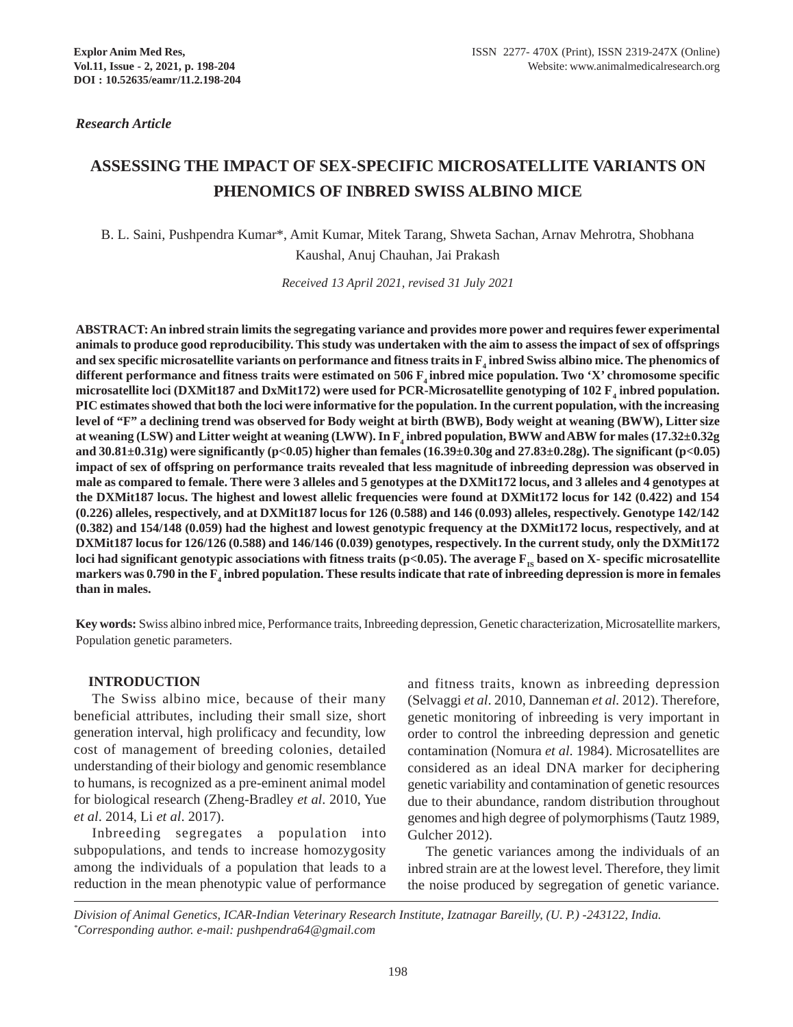*Research Article*

# **ASSESSING THE IMPACT OF SEX-SPECIFIC MICROSATELLITE VARIANTS ON PHENOMICS OF INBRED SWISS ALBINO MICE**

B. L. Saini, Pushpendra Kumar\*, Amit Kumar, Mitek Tarang, Shweta Sachan, Arnav Mehrotra, Shobhana Kaushal, Anuj Chauhan, Jai Prakash

*Received 13 April 2021, revised 31 July 2021*

**ABSTRACT: An inbred strain limits the segregating variance and provides more power and requires fewer experimental animals to produce good reproducibility. This study was undertaken with the aim to assess the impact of sex of offsprings** and sex specific microsatellite variants on performance and fitness traits in  $\mathrm{F}_4$  inbred Swiss albino mice. The phenomics of different performance and fitness traits were estimated on 506 F<sub>4</sub> inbred mice population. Two 'X' chromosome specific microsatellite loci (DXMit187 and DxMit172) were used for PCR-Microsatellite genotyping of 102  $\rm F$ <sub>4</sub> inbred population. **PIC estimates showed that both the loci were informative for the population. In the current population, with the increasing level of "F" a declining trend was observed for Body weight at birth (BWB), Body weight at weaning (BWW), Litter size**  $a$ t weaning (LSW) and Litter weight at weaning (LWW). In  $\rm F_4$  inbred population, BWW and ABW for males (17.32±0.32g **and 30.81±0.31g) were significantly (p<0.05) higher than females (16.39±0.30g and 27.83±0.28g). The significant (p<0.05) impact of sex of offspring on performance traits revealed that less magnitude of inbreeding depression was observed in male as compared to female. There were 3 alleles and 5 genotypes at the DXMit172 locus, and 3 alleles and 4 genotypes at the DXMit187 locus. The highest and lowest allelic frequencies were found at DXMit172 locus for 142 (0.422) and 154 (0.226) alleles, respectively, and at DXMit187 locus for 126 (0.588) and 146 (0.093) alleles, respectively. Genotype 142/142 (0.382) and 154/148 (0.059) had the highest and lowest genotypic frequency at the DXMit172 locus, respectively, and at DXMit187 locus for 126/126 (0.588) and 146/146 (0.039) genotypes, respectively. In the current study, only the DXMit172** loci had significant genotypic associations with fitness traits  $(p<0.05)$ . The average  $F_{IS}$  based on X- specific microsatellite markers was 0.790 in the F<sub>4</sub> inbred population. These results indicate that rate of inbreeding depression is more in females **than in males.**

**Key words:** Swiss albino inbred mice, Performance traits, Inbreeding depression, Genetic characterization, Microsatellite markers, Population genetic parameters.

# **INTRODUCTION**

The Swiss albino mice, because of their many beneficial attributes, including their small size, short generation interval, high prolificacy and fecundity, low cost of management of breeding colonies, detailed understanding of their biology and genomic resemblance to humans, is recognized as a pre-eminent animal model for biological research (Zheng-Bradley *et al*. 2010, Yue *et al*. 2014, Li *et al*. 2017).

Inbreeding segregates a population into subpopulations, and tends to increase homozygosity among the individuals of a population that leads to a reduction in the mean phenotypic value of performance

and fitness traits, known as inbreeding depression (Selvaggi *et al*. 2010, Danneman *et al.* 2012). Therefore, genetic monitoring of inbreeding is very important in order to control the inbreeding depression and genetic contamination (Nomura *et al*. 1984). Microsatellites are considered as an ideal DNA marker for deciphering genetic variability and contamination of genetic resources due to their abundance, random distribution throughout genomes and high degree of polymorphisms (Tautz 1989, Gulcher 2012).

The genetic variances among the individuals of an inbred strain are at the lowest level. Therefore, they limit the noise produced by segregation of genetic variance.

*Division of Animal Genetics, ICAR-Indian Veterinary Research Institute, Izatnagar Bareilly, (U. P.) -243122, India. \* Corresponding author. e-mail: pushpendra64@gmail.com*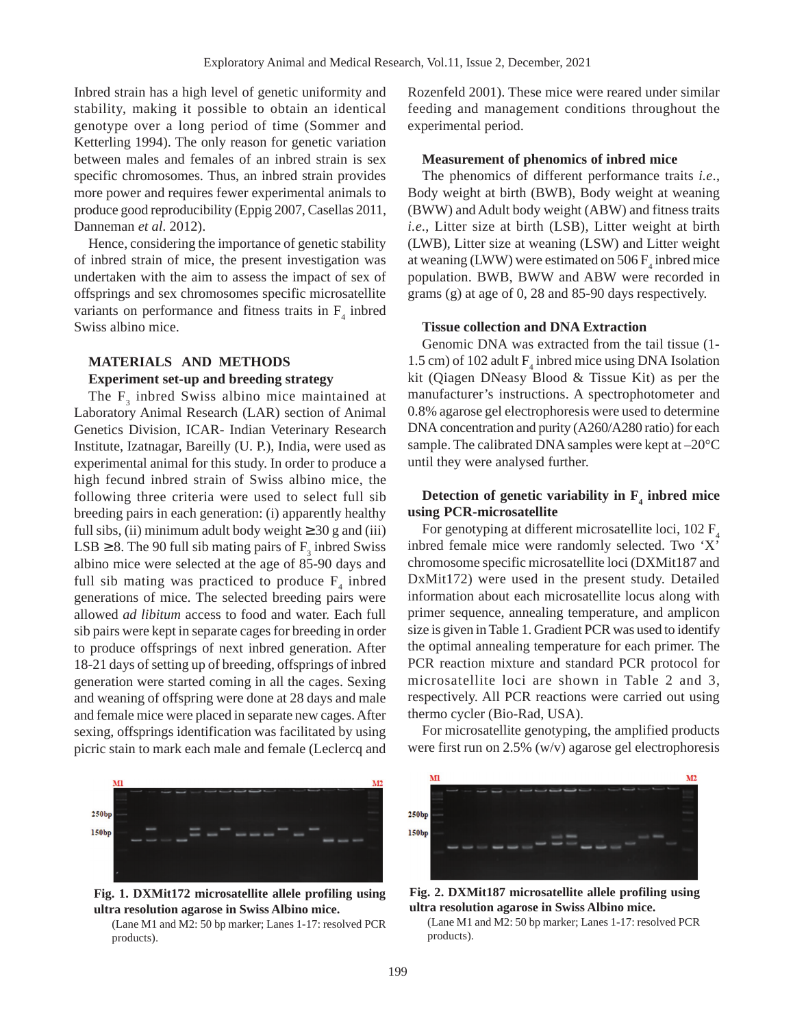Inbred strain has a high level of genetic uniformity and stability, making it possible to obtain an identical genotype over a long period of time (Sommer and Ketterling 1994). The only reason for genetic variation between males and females of an inbred strain is sex specific chromosomes. Thus, an inbred strain provides more power and requires fewer experimental animals to produce good reproducibility (Eppig 2007, Casellas 2011, Danneman *et al*. 2012).

Hence, considering the importance of genetic stability of inbred strain of mice, the present investigation was undertaken with the aim to assess the impact of sex of offsprings and sex chromosomes specific microsatellite variants on performance and fitness traits in  $F_4$  inbred Swiss albino mice.

# **MATERIALS AND METHODS**

#### **Experiment set-up and breeding strategy**

The  $F_3$  inbred Swiss albino mice maintained at Laboratory Animal Research (LAR) section of Animal Genetics Division, ICAR- Indian Veterinary Research Institute, Izatnagar, Bareilly (U. P.), India, were used as experimental animal for this study. In order to produce a high fecund inbred strain of Swiss albino mice, the following three criteria were used to select full sib breeding pairs in each generation: (i) apparently healthy full sibs, (ii) minimum adult body weight  $\geq 30$  g and (iii) LSB  $\geq$  8. The 90 full sib mating pairs of  $F_3$  inbred Swiss albino mice were selected at the age of 85-90 days and full sib mating was practiced to produce  $F_4$  inbred generations of mice. The selected breeding pairs were allowed *ad libitum* access to food and water. Each full sib pairs were kept in separate cages for breeding in order to produce offsprings of next inbred generation. After 18-21 days of setting up of breeding, offsprings of inbred generation were started coming in all the cages. Sexing and weaning of offspring were done at 28 days and male and female mice were placed in separate new cages. After sexing, offsprings identification was facilitated by using picric stain to mark each male and female (Leclercq and

 $M<sub>2</sub>$ 250bp 150bp

**Fig. 1. DXMit172 microsatellite allele profiling using ultra resolution agarose in Swiss Albino mice.**

(Lane M1 and M2: 50 bp marker; Lanes 1-17: resolved PCR products).

Rozenfeld 2001). These mice were reared under similar feeding and management conditions throughout the experimental period.

#### **Measurement of phenomics of inbred mice**

The phenomics of different performance traits *i.e*., Body weight at birth (BWB), Body weight at weaning (BWW) and Adult body weight (ABW) and fitness traits *i.e*., Litter size at birth (LSB), Litter weight at birth (LWB), Litter size at weaning (LSW) and Litter weight at weaning (LWW) were estimated on 506  $F_4$  inbred mice population. BWB, BWW and ABW were recorded in grams (g) at age of 0, 28 and 85-90 days respectively.

#### **Tissue collection and DNA Extraction**

Genomic DNA was extracted from the tail tissue (1- 1.5 cm) of 102 adult  $F_4$  inbred mice using DNA Isolation kit (Qiagen DNeasy Blood & Tissue Kit) as per the manufacturer's instructions. A spectrophotometer and 0.8% agarose gel electrophoresis were used to determine DNA concentration and purity (A260/A280 ratio) for each sample. The calibrated DNA samples were kept at –20°C until they were analysed further.

# Detection of genetic variability in  $F_4$  inbred mice **using PCR-microsatellite**

For genotyping at different microsatellite loci,  $102 F<sub>4</sub>$ inbred female mice were randomly selected. Two 'X' chromosome specific microsatellite loci (DXMit187 and DxMit172) were used in the present study. Detailed information about each microsatellite locus along with primer sequence, annealing temperature, and amplicon size is given in Table 1. Gradient PCR was used to identify the optimal annealing temperature for each primer. The PCR reaction mixture and standard PCR protocol for microsatellite loci are shown in Table 2 and 3, respectively. All PCR reactions were carried out using thermo cycler (Bio-Rad, USA).

For microsatellite genotyping, the amplified products were first run on 2.5% (w/v) agarose gel electrophoresis



**Fig. 2. DXMit187 microsatellite allele profiling using ultra resolution agarose in Swiss Albino mice.**

(Lane M1 and M2: 50 bp marker; Lanes 1-17: resolved PCR products).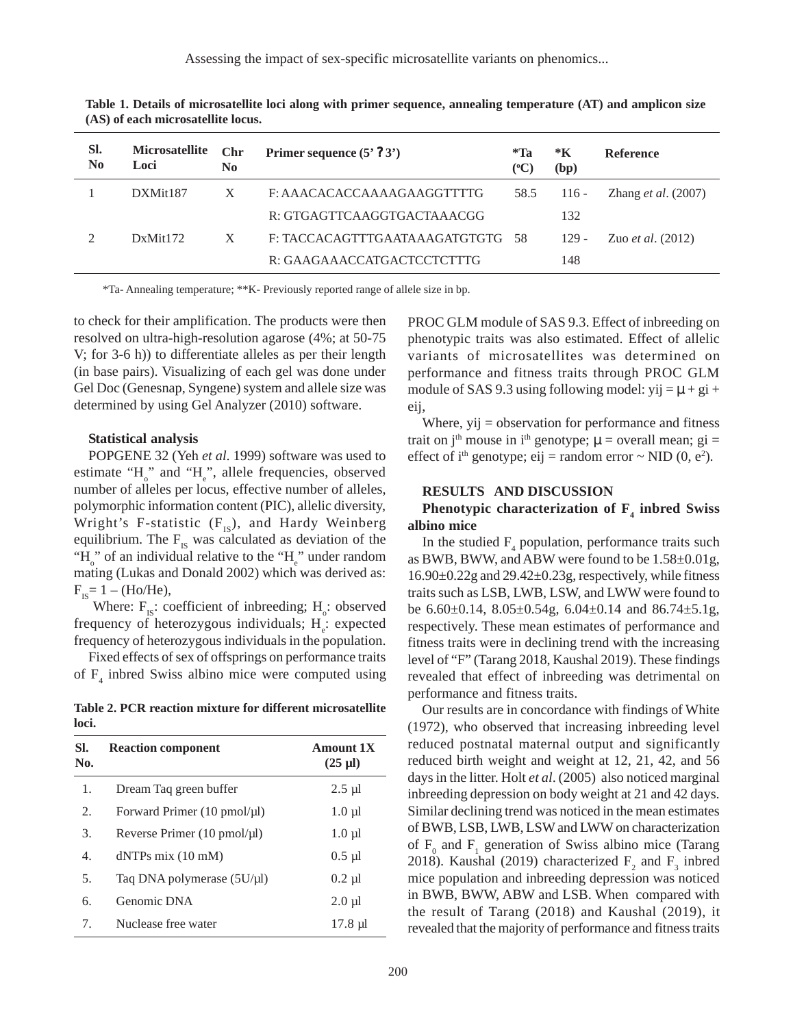Assessing the impact of sex-specific microsatellite variants on phenomics...

| SI.<br>$\bf No$ | <b>Microsatellite</b><br>Loci | Chr<br>$\bf No$ | Primer sequence $(5' ? 3')$   | *Ta<br>$({}^{\circ}C)$ | *K<br>(bp) | <b>Reference</b>             |
|-----------------|-------------------------------|-----------------|-------------------------------|------------------------|------------|------------------------------|
|                 | DXMit <sub>187</sub>          | X               | F: AAACACACCAAAAGAAGGTTTTG    | 58.5                   | $116 -$    | Zhang <i>et al.</i> $(2007)$ |
|                 |                               |                 | R: GTGAGTTCAAGGTGACTAAACGG    |                        | 132        |                              |
|                 | DxMit172                      | X               | F: TACCACAGTTTGAATAAAGATGTGTG | -58                    | $129 -$    | Zuo <i>et al.</i> $(2012)$   |
|                 |                               |                 | R: GAAGAAACCATGACTCCTCTTTG    |                        | 148        |                              |

**Table 1. Details of microsatellite loci along with primer sequence, annealing temperature (AT) and amplicon size (AS) of each microsatellite locus.**

\*Ta- Annealing temperature; \*\*K- Previously reported range of allele size in bp.

to check for their amplification. The products were then resolved on ultra-high-resolution agarose (4%; at 50-75 V; for 3-6 h)) to differentiate alleles as per their length (in base pairs). Visualizing of each gel was done under Gel Doc (Genesnap, Syngene) system and allele size was determined by using Gel Analyzer (2010) software.

#### **Statistical analysis**

POPGENE 32 (Yeh *et al*. 1999) software was used to estimate " $H_o$ " and " $H_e$ ", allele frequencies, observed number of alleles per locus, effective number of alleles, polymorphic information content (PIC), allelic diversity, Wright's F-statistic  $(F_{IS})$ , and Hardy Weinberg equilibrium. The  $F_{IS}$  was calculated as deviation of the " $H_0$ " of an individual relative to the " $H_e$ " under random mating (Lukas and Donald 2002) which was derived as:  $F_{rs} = 1 - (Ho/He),$ 

Where:  $F_{IS}$ : coefficient of inbreeding; H<sub>o</sub>: observed frequency of heterozygous individuals;  $H_e$ : expected frequency of heterozygous individuals in the population.

Fixed effects of sex of offsprings on performance traits of  $F_4$  inbred Swiss albino mice were computed using

**Table 2. PCR reaction mixture for different microsatellite loci.**

| SI.<br>No.  | <b>Reaction component</b>       | <b>Amount 1X</b><br>$(25 \mu l)$ |
|-------------|---------------------------------|----------------------------------|
| 1.          | Dream Taq green buffer          | $2.5 \mu$ l                      |
| 2.          | Forward Primer (10 pmol/µl)     | $1.0 \mu l$                      |
| 3.          | Reverse Primer (10 pmol/µl)     | $1.0 \mu$ l                      |
| 4.          | $dNTPs$ mix $(10$ mM)           | $0.5 \mu l$                      |
| 5.          | Taq DNA polymerase $(5U/\mu l)$ | $0.2 \mu l$                      |
| б.          | Genomic DNA                     | $2.0 \mu l$                      |
| $7_{\cdot}$ | Nuclease free water             | $17.8 \mu$ l                     |

PROC GLM module of SAS 9.3. Effect of inbreeding on phenotypic traits was also estimated. Effect of allelic variants of microsatellites was determined on performance and fitness traits through PROC GLM module of SAS 9.3 using following model: yij =  $\mu$  + gi + eij,

Where,  $y_{ij}$  = observation for performance and fitness trait on j<sup>th</sup> mouse in i<sup>th</sup> genotype;  $\mu$  = overall mean; gi = effect of i<sup>th</sup> genotype; eij = random error ~ NID (0, e<sup>2</sup>).

#### **RESULTS AND DISCUSSION**

# Phenotypic characterization of  $F<sub>4</sub>$  inbred Swiss **albino mice**

In the studied  $F_4$  population, performance traits such as BWB, BWW, and ABW were found to be 1.58±0.01g, 16.90±0.22g and 29.42±0.23g, respectively, while fitness traits such as LSB, LWB, LSW, and LWW were found to be  $6.60\pm0.14$ ,  $8.05\pm0.54$ g,  $6.04\pm0.14$  and  $86.74\pm5.1$ g, respectively. These mean estimates of performance and fitness traits were in declining trend with the increasing level of "F" (Tarang 2018, Kaushal 2019). These findings revealed that effect of inbreeding was detrimental on performance and fitness traits.

Our results are in concordance with findings of White (1972), who observed that increasing inbreeding level reduced postnatal maternal output and significantly reduced birth weight and weight at 12, 21, 42, and 56 days in the litter. Holt *et al*. (2005) also noticed marginal inbreeding depression on body weight at 21 and 42 days. Similar declining trend was noticed in the mean estimates of BWB, LSB, LWB, LSW and LWW on characterization of  $F_0$  and  $F_1$  generation of Swiss albino mice (Tarang 2018). Kaushal (2019) characterized  $F_2$  and  $F_3$  inbred mice population and inbreeding depression was noticed in BWB, BWW, ABW and LSB. When compared with the result of Tarang (2018) and Kaushal (2019), it revealed that the majority of performance and fitness traits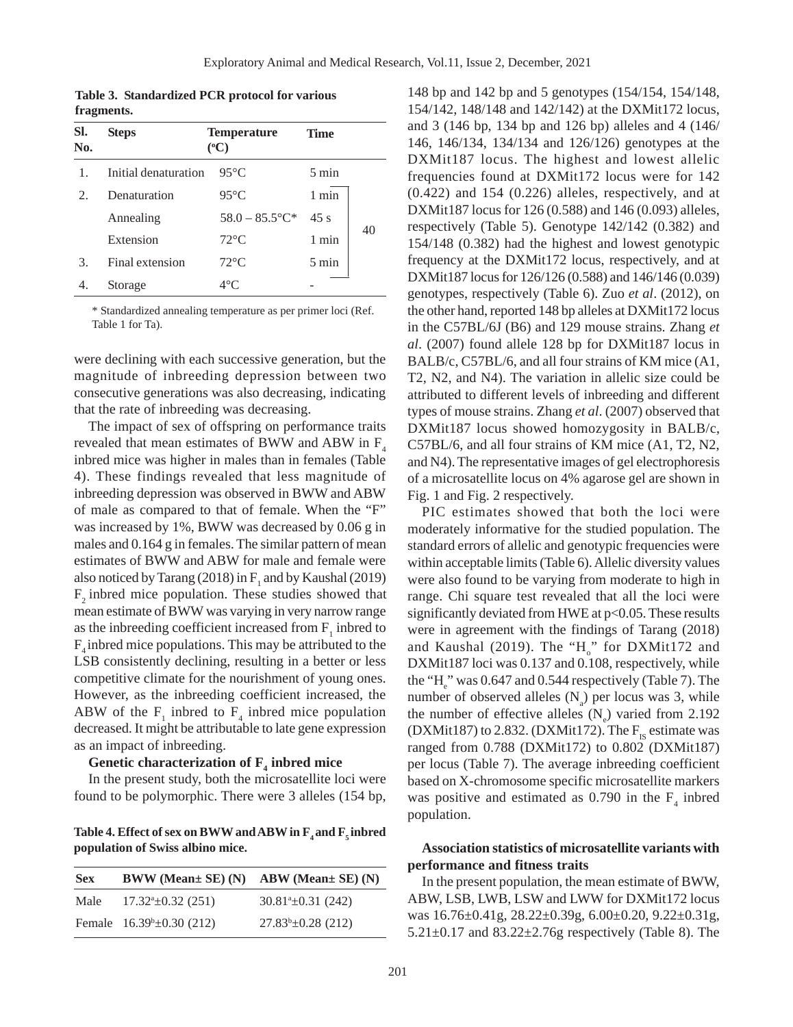**Table 3. Standardized PCR protocol for various fragments.**

| SI.<br>No.                  | <b>Steps</b>         | <b>Temperature</b><br>$({}^oC)$ | <b>Time</b>     |    |
|-----------------------------|----------------------|---------------------------------|-----------------|----|
| 1                           | Initial denaturation | $95^{\circ}$ C                  | $5 \text{ min}$ |    |
| $\mathcal{D}_{\mathcal{L}}$ | Denaturation         | $95^{\circ}$ C                  | 1 min           |    |
|                             | Annealing            | $58.0 - 85.5$ °C*               | 45s             |    |
|                             | Extension            | $72^{\circ}$ C                  | 1 min           | 40 |
| 3.                          | Final extension      | $72^{\circ}$ C                  | $5 \text{ min}$ |    |
|                             | Storage              | $4^{\circ}$ C                   |                 |    |

\* Standardized annealing temperature as per primer loci (Ref. Table 1 for Ta).

were declining with each successive generation, but the magnitude of inbreeding depression between two consecutive generations was also decreasing, indicating that the rate of inbreeding was decreasing.

The impact of sex of offspring on performance traits revealed that mean estimates of BWW and ABW in  $F<sub>4</sub>$ inbred mice was higher in males than in females (Table 4). These findings revealed that less magnitude of inbreeding depression was observed in BWW and ABW of male as compared to that of female. When the "F" was increased by 1%, BWW was decreased by 0.06 g in males and 0.164 g in females. The similar pattern of mean estimates of BWW and ABW for male and female were also noticed by Tarang (2018) in  $F_1$  and by Kaushal (2019)  $F<sub>2</sub>$  inbred mice population. These studies showed that mean estimate of BWW was varying in very narrow range as the inbreeding coefficient increased from  $F_1$  inbred to  $F_{4}$  inbred mice populations. This may be attributed to the LSB consistently declining, resulting in a better or less competitive climate for the nourishment of young ones. However, as the inbreeding coefficient increased, the ABW of the  $F_1$  inbred to  $F_4$  inbred mice population decreased. It might be attributable to late gene expression as an impact of inbreeding.

# Genetic characterization of  $\mathbf{F}_4$  inbred mice

In the present study, both the microsatellite loci were found to be polymorphic. There were 3 alleles (154 bp,

Table 4. Effect of sex on BWW and ABW in F<sub>4</sub> and F<sub>5</sub> inbred **population of Swiss albino mice.**

| <b>Sex</b> | $BWW$ (Mean $\pm$ SE) (N) ABW (Mean $\pm$ SE) (N) |                                |
|------------|---------------------------------------------------|--------------------------------|
| Male       | $17.32^{\circ} \pm 0.32$ (251)                    | $30.81^{\circ} \pm 0.31$ (242) |
|            | Female $16.39^{\circ} \pm 0.30$ (212)             | $27.83^{\circ} \pm 0.28$ (212) |

148 bp and 142 bp and 5 genotypes (154/154, 154/148, 154/142, 148/148 and 142/142) at the DXMit172 locus, and 3 (146 bp, 134 bp and 126 bp) alleles and 4 (146/ 146, 146/134, 134/134 and 126/126) genotypes at the DXMit187 locus. The highest and lowest allelic frequencies found at DXMit172 locus were for 142 (0.422) and 154 (0.226) alleles, respectively, and at DXMit187 locus for 126 (0.588) and 146 (0.093) alleles, respectively (Table 5). Genotype 142/142 (0.382) and 154/148 (0.382) had the highest and lowest genotypic frequency at the DXMit172 locus, respectively, and at DXMit187 locus for 126/126 (0.588) and 146/146 (0.039) genotypes, respectively (Table 6). Zuo *et al*. (2012), on the other hand, reported 148 bp alleles at DXMit172 locus in the C57BL/6J (B6) and 129 mouse strains. Zhang *et al*. (2007) found allele 128 bp for DXMit187 locus in BALB/c, C57BL/6, and all four strains of KM mice (A1, T2, N2, and N4). The variation in allelic size could be attributed to different levels of inbreeding and different types of mouse strains. Zhang *et al*. (2007) observed that DXMit187 locus showed homozygosity in BALB/c, C57BL/6, and all four strains of KM mice (A1, T2, N2, and N4). The representative images of gel electrophoresis of a microsatellite locus on 4% agarose gel are shown in Fig. 1 and Fig. 2 respectively.

PIC estimates showed that both the loci were moderately informative for the studied population. The standard errors of allelic and genotypic frequencies were within acceptable limits (Table 6). Allelic diversity values were also found to be varying from moderate to high in range. Chi square test revealed that all the loci were significantly deviated from HWE at p<0.05. These results were in agreement with the findings of Tarang (2018) and Kaushal (2019). The " $H_o$ " for DXMit172 and DXMit187 loci was 0.137 and 0.108, respectively, while the " $H_e$ " was 0.647 and 0.544 respectively (Table 7). The number of observed alleles  $(N_a)$  per locus was 3, while the number of effective alleles  $(N_e)$  varied from 2.192 (DXMit187) to 2.832. (DXMit172). The  $F_{IS}$  estimate was ranged from 0.788 (DXMit172) to 0.802 (DXMit187) per locus (Table 7). The average inbreeding coefficient based on X-chromosome specific microsatellite markers was positive and estimated as 0.790 in the  $F_4$  inbred population.

# **Association statistics of microsatellite variants with performance and fitness traits**

In the present population, the mean estimate of BWW, ABW, LSB, LWB, LSW and LWW for DXMit172 locus was 16.76±0.41g, 28.22±0.39g, 6.00±0.20, 9.22±0.31g,  $5.21 \pm 0.17$  and  $83.22 \pm 2.76$ g respectively (Table 8). The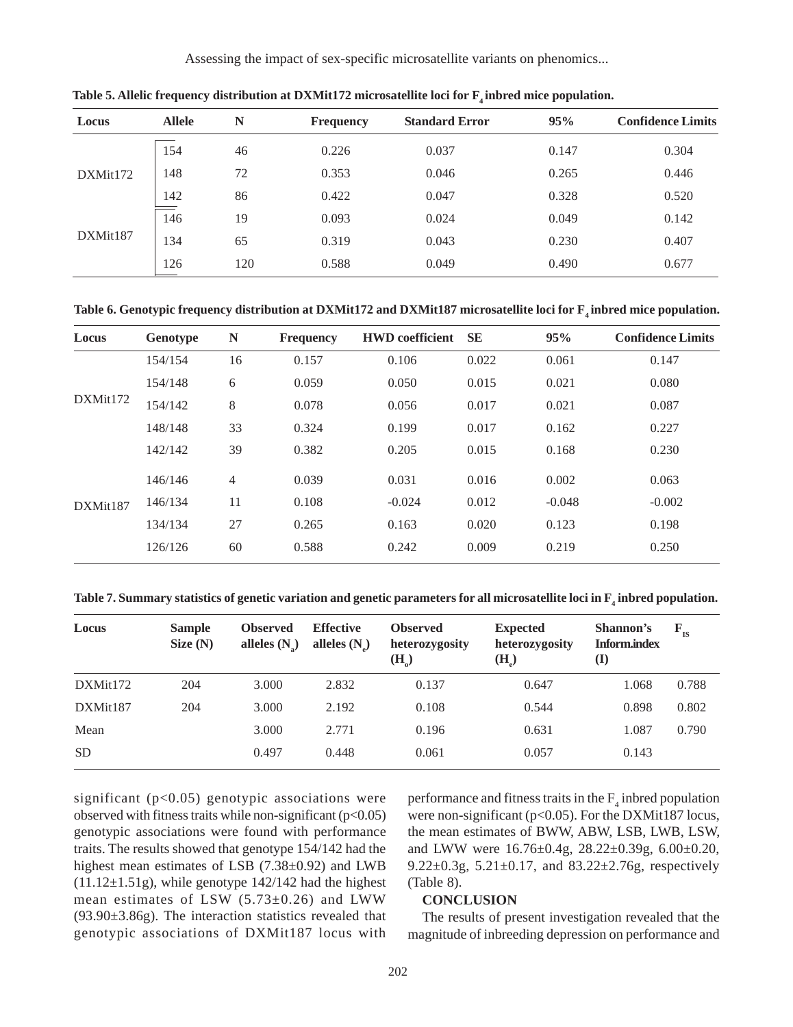Assessing the impact of sex-specific microsatellite variants on phenomics...

| Locus    | <b>Allele</b> | N   | <b>Frequency</b> | <b>Standard Error</b> | 95%   | <b>Confidence Limits</b> |
|----------|---------------|-----|------------------|-----------------------|-------|--------------------------|
|          | 154           | 46  | 0.226            | 0.037                 | 0.147 | 0.304                    |
| DXMit172 | 148           | 72  | 0.353            | 0.046                 | 0.265 | 0.446                    |
|          | 142           | 86  | 0.422            | 0.047                 | 0.328 | 0.520                    |
|          | 146           | 19  | 0.093            | 0.024                 | 0.049 | 0.142                    |
| DXMit187 | 134           | 65  | 0.319            | 0.043                 | 0.230 | 0.407                    |
|          | 126           | 120 | 0.588            | 0.049                 | 0.490 | 0.677                    |

Table 5. Allelic frequency distribution at DXMit172 microsatellite loci for  $F_4$  inbred mice population.

Table 6. Genotypic frequency distribution at DXMit172 and DXMit187 microsatellite loci for F<sub>4</sub> inbred mice population.

| Locus    | Genotype | N              | <b>Frequency</b> | <b>HWD</b> coefficient | <b>SE</b> | 95%      | <b>Confidence Limits</b> |
|----------|----------|----------------|------------------|------------------------|-----------|----------|--------------------------|
|          | 154/154  | 16             | 0.157            | 0.106                  | 0.022     | 0.061    | 0.147                    |
|          | 154/148  | 6              | 0.059            | 0.050                  | 0.015     | 0.021    | 0.080                    |
| DXMit172 | 154/142  | 8              | 0.078            | 0.056                  | 0.017     | 0.021    | 0.087                    |
|          | 148/148  | 33             | 0.324            | 0.199                  | 0.017     | 0.162    | 0.227                    |
|          | 142/142  | 39             | 0.382            | 0.205                  | 0.015     | 0.168    | 0.230                    |
|          | 146/146  | $\overline{4}$ | 0.039            | 0.031                  | 0.016     | 0.002    | 0.063                    |
| DXMit187 | 146/134  | 11             | 0.108            | $-0.024$               | 0.012     | $-0.048$ | $-0.002$                 |
|          | 134/134  | 27             | 0.265            | 0.163                  | 0.020     | 0.123    | 0.198                    |
|          | 126/126  | 60             | 0.588            | 0.242                  | 0.009     | 0.219    | 0.250                    |

Table 7. Summary statistics of genetic variation and genetic parameters for all microsatellite loci in  $\mathrm{F}_4$  inbred population.

| Locus     | <b>Sample</b><br>Size(N) | <b>Observed</b><br>alleles $(N_2)$ | <b>Effective</b><br>alleles $(N)$ | <b>Observed</b><br>heterozygosity<br>$(H_0)$ | <b>Expected</b><br>heterozygosity<br>$(H_2)$ | Shannon's<br><b>Inform.index</b><br>$\mathbf{I}$ | $F_{IS}$ |
|-----------|--------------------------|------------------------------------|-----------------------------------|----------------------------------------------|----------------------------------------------|--------------------------------------------------|----------|
| DXMit172  | 204                      | 3.000                              | 2.832                             | 0.137                                        | 0.647                                        | 1.068                                            | 0.788    |
| DXMit187  | 204                      | 3.000                              | 2.192                             | 0.108                                        | 0.544                                        | 0.898                                            | 0.802    |
| Mean      |                          | 3.000                              | 2.771                             | 0.196                                        | 0.631                                        | 1.087                                            | 0.790    |
| <b>SD</b> |                          | 0.497                              | 0.448                             | 0.061                                        | 0.057                                        | 0.143                                            |          |

significant (p<0.05) genotypic associations were observed with fitness traits while non-significant  $(p<0.05)$ genotypic associations were found with performance traits. The results showed that genotype 154/142 had the highest mean estimates of LSB (7.38±0.92) and LWB  $(11.12\pm 1.51g)$ , while genotype 142/142 had the highest mean estimates of LSW  $(5.73\pm0.26)$  and LWW (93.90±3.86g). The interaction statistics revealed that genotypic associations of DXMit187 locus with

performance and fitness traits in the  $F_4$  inbred population were non-significant (p<0.05). For the DXMit187 locus, the mean estimates of BWW, ABW, LSB, LWB, LSW, and LWW were 16.76±0.4g, 28.22±0.39g, 6.00±0.20, 9.22 $\pm$ 0.3g, 5.21 $\pm$ 0.17, and 83.22 $\pm$ 2.76g, respectively (Table 8).

#### **CONCLUSION**

The results of present investigation revealed that the magnitude of inbreeding depression on performance and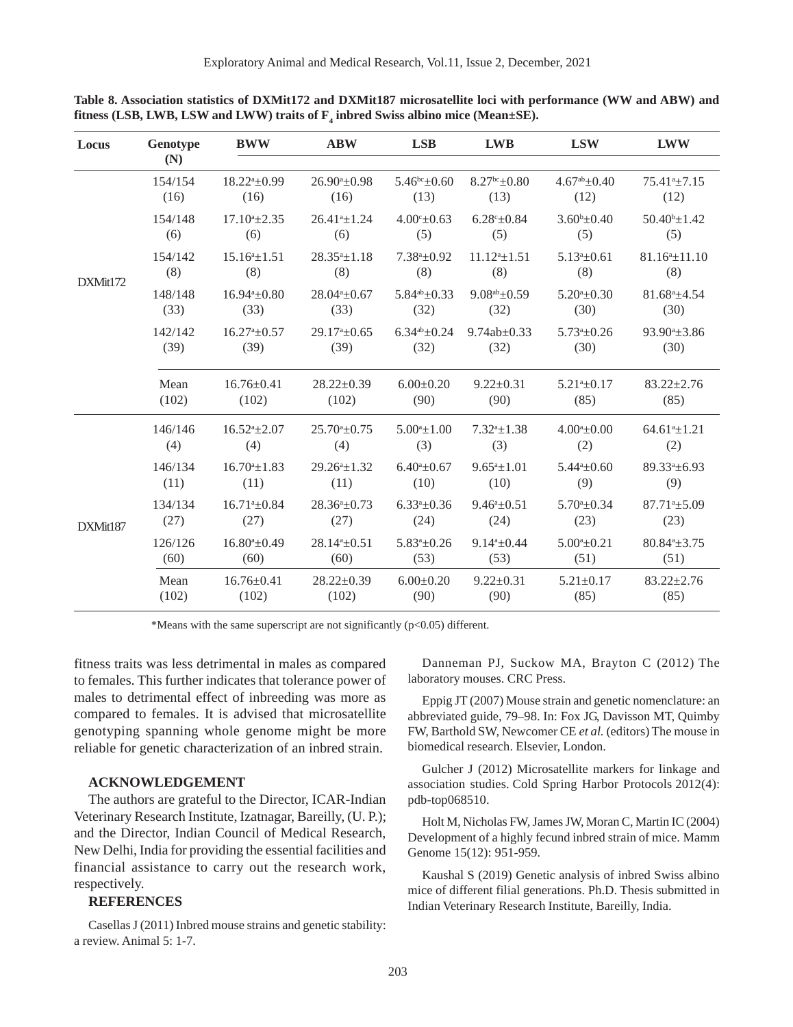| Locus    | Genotype        | <b>BWW</b>                  | <b>ABW</b>                 | <b>LSB</b>                | <b>LWB</b>                 | <b>LSW</b>                | <b>LWW</b>                  |
|----------|-----------------|-----------------------------|----------------------------|---------------------------|----------------------------|---------------------------|-----------------------------|
|          | (N)             |                             |                            |                           |                            |                           |                             |
|          | 154/154         | $18.22^{\mathrm{a}}\pm0.99$ | $26.90^a \pm 0.98$         | $5.46^{\rm bc}$ ±0.60     | $8.27bc \pm 0.80$          | $4.67^{ab} \pm 0.40$      | 75.41 <sup>a</sup> ±7.15    |
|          | (16)            | (16)                        | (16)                       | (13)                      | (13)                       | (12)                      | (12)                        |
|          | 154/148         | $17.10^a \pm 2.35$          | $26.41^a \pm 1.24$         | $4.00^{\circ}$ ±0.63      | $6.28^{\circ} \pm 0.84$    | $3.60^{\rm b} \pm 0.40$   | $50.40^b \pm 1.42$          |
|          | (6)             | (6)                         | (6)                        | (5)                       | (5)                        | (5)                       | (5)                         |
| DXMit172 | 154/142         | $15.16^{\circ}$ + 1.51      | $28.35^a \pm 1.18$         | $7.38^a \pm 0.92$         | $11.12^{a}$ + 1.51         | $5.13^a \pm 0.61$         | $81.16^a \pm 11.10$         |
|          | (8)             | (8)                         | (8)                        | (8)                       | (8)                        | (8)                       | (8)                         |
|          | 148/148         | $16.94^a \pm 0.80$          | $28.04a_{\pm}0.67$         | $5.84^{ab} \pm 0.33$      | $9.08^{ab} \pm 0.59$       | $5.20^a \pm 0.30$         | $81.68^a \pm 4.54$          |
|          | (33)            | (33)                        | (33)                       | (32)                      | (32)                       | (30)                      | (30)                        |
|          | 142/142         | $16.27a_{\pm}0.57$          | $29.17a \pm 0.65$          | $6.34^{ab} \pm 0.24$      | $9.74ab \pm 0.33$          | $5.73a_{\pm}0.26$         | 93.90 <sup>a</sup> ±3.86    |
|          | (39)            | (39)                        | (39)                       | (32)                      | (32)                       | (30)                      | (30)                        |
|          | Mean            | $16.76 \pm 0.41$            | $28.22 \pm 0.39$           | $6.00 \pm 0.20$           | $9.22 \pm 0.31$            | $5.21^a \pm 0.17$         | $83.22 \pm 2.76$            |
|          | (102)           | (102)                       | (102)                      | (90)                      | (90)                       | (85)                      | (85)                        |
|          | 146/146         | $16.52^{\mathrm{a}}\pm2.07$ | $25.70^{\circ}$ ±0.75      | $5.00^a \pm 1.00$         | $7.32^{\mathrm{a}}\pm1.38$ | $4.00^a \pm 0.00$         | $64.61^{\circ} \pm 1.21$    |
|          | (4)             | (4)                         | (4)                        | (3)                       | (3)                        | (2)                       | (2)                         |
|          | 146/134         | $16.70^a \pm 1.83$          | $29.26^a \pm 1.32$         | $6.40^a \pm 0.67$         | $9.65^a \pm 1.01$          | $5.44^a \pm 0.60$         | 89.33 <sup>a</sup> ±6.93    |
|          | (11)            | (11)                        | (11)                       | (10)                      | (10)                       | (9)                       | (9)                         |
| DXMit187 | 134/134         | $16.71^{\circ} \pm 0.84$    | $28.36^a \pm 0.73$         | $6.33^a \pm 0.36$         | $9.46^a \pm 0.51$          | $5.70^a \pm 0.34$         | $87.71^{\text{a}} \pm 5.09$ |
|          | (27)            | (27)                        | (27)                       | (24)                      | (24)                       | (23)                      | (23)                        |
|          | 126/126<br>(60) | $16.80^a \pm 0.49$<br>(60)  | $28.14^a \pm 0.51$<br>(60) | $5.83^a \pm 0.26$<br>(53) | $9.14^a \pm 0.44$<br>(53)  | $5.00^a \pm 0.21$<br>(51) | $80.84^a \pm 3.75$<br>(51)  |
|          | Mean<br>(102)   | $16.76 \pm 0.41$<br>(102)   | $28.22 \pm 0.39$<br>(102)  | $6.00 \pm 0.20$<br>(90)   | $9.22 \pm 0.31$<br>(90)    | $5.21 \pm 0.17$<br>(85)   | $83.22 \pm 2.76$<br>(85)    |

**Table 8. Association statistics of DXMit172 and DXMit187 microsatellite loci with performance (WW and ABW) and** fitness (LSB, LWB, LSW and LWW) traits of  $\mathbf{F}_4$  inbred Swiss albino mice (Mean±SE).

\*Means with the same superscript are not significantly  $(p<0.05)$  different.

fitness traits was less detrimental in males as compared to females. This further indicates that tolerance power of males to detrimental effect of inbreeding was more as compared to females. It is advised that microsatellite genotyping spanning whole genome might be more reliable for genetic characterization of an inbred strain.

#### **ACKNOWLEDGEMENT**

The authors are grateful to the Director, ICAR-Indian Veterinary Research Institute, Izatnagar, Bareilly, (U. P.); and the Director, Indian Council of Medical Research, New Delhi, India for providing the essential facilities and financial assistance to carry out the research work, respectively.

### **REFERENCES**

Casellas J (2011) Inbred mouse strains and genetic stability: a review. Animal 5: 1-7.

Danneman PJ, Suckow MA, Brayton C (2012) The laboratory mouses. CRC Press.

Eppig JT (2007) Mouse strain and genetic nomenclature: an abbreviated guide, 79–98. In: Fox JG, Davisson MT, Quimby FW, Barthold SW, Newcomer CE *et al.* (editors) The mouse in biomedical research. Elsevier, London.

Gulcher J (2012) Microsatellite markers for linkage and association studies. Cold Spring Harbor Protocols 2012(4): pdb-top068510.

Holt M, Nicholas FW, James JW, Moran C, Martin IC (2004) Development of a highly fecund inbred strain of mice. Mamm Genome 15(12): 951-959.

Kaushal S (2019) Genetic analysis of inbred Swiss albino mice of different filial generations. Ph.D. Thesis submitted in Indian Veterinary Research Institute, Bareilly, India.